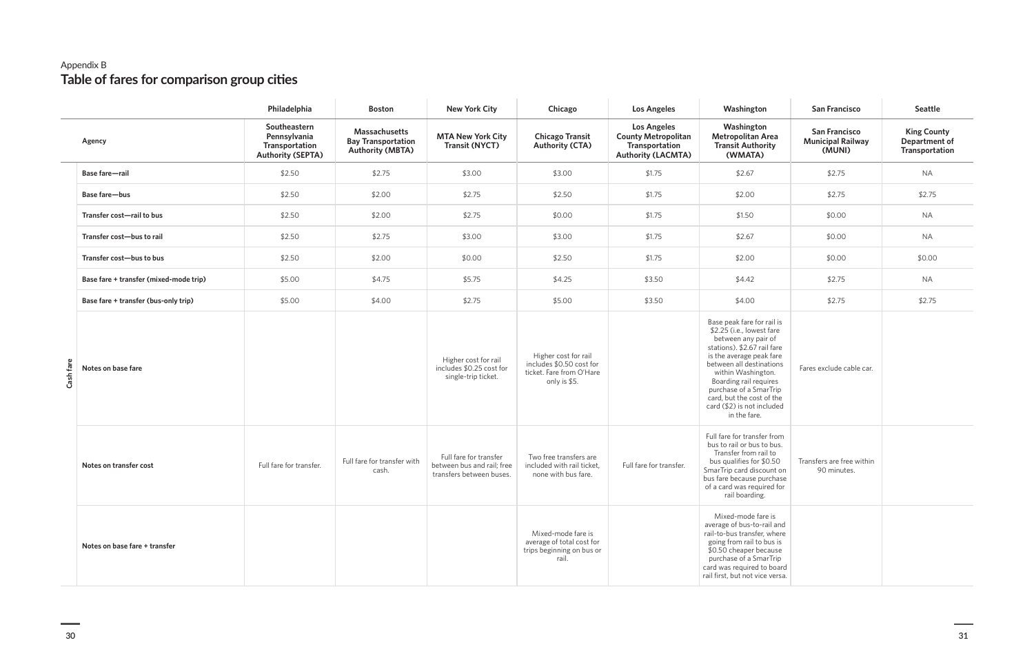## Appendix B **Table of fares for comparison group cities**

|           |                                        | Philadelphia                                                               | <b>Boston</b>                                                         | <b>New York City</b>                                                             | Chicago                                                                                      | <b>Los Angeles</b>                                                                              | Washington                                                                                                                                                                                                                                                                                                                 | <b>San Francisco</b>                                       | <b>Seattle</b>                                        |
|-----------|----------------------------------------|----------------------------------------------------------------------------|-----------------------------------------------------------------------|----------------------------------------------------------------------------------|----------------------------------------------------------------------------------------------|-------------------------------------------------------------------------------------------------|----------------------------------------------------------------------------------------------------------------------------------------------------------------------------------------------------------------------------------------------------------------------------------------------------------------------------|------------------------------------------------------------|-------------------------------------------------------|
|           | Agency                                 | Southeastern<br>Pennsylvania<br>Transportation<br><b>Authority (SEPTA)</b> | Massachusetts<br><b>Bay Transportation</b><br><b>Authority (MBTA)</b> | <b>MTA New York City</b><br><b>Transit (NYCT)</b>                                | <b>Chicago Transit</b><br><b>Authority (CTA)</b>                                             | <b>Los Angeles</b><br><b>County Metropolitan</b><br>Transportation<br><b>Authority (LACMTA)</b> | Washington<br><b>Metropolitan Area</b><br><b>Transit Authority</b><br>(WMATA)                                                                                                                                                                                                                                              | <b>San Francisco</b><br><b>Municipal Railway</b><br>(MUNI) | <b>King County</b><br>Department of<br>Transportation |
|           | Base fare-rail                         | \$2.50                                                                     | \$2.75                                                                | \$3.00                                                                           | \$3.00                                                                                       | \$1.75                                                                                          | \$2.67                                                                                                                                                                                                                                                                                                                     | \$2.75                                                     | <b>NA</b>                                             |
|           | Base fare-bus                          | \$2.50                                                                     | \$2.00                                                                | \$2.75                                                                           | \$2.50                                                                                       | \$1.75                                                                                          | \$2.00                                                                                                                                                                                                                                                                                                                     | \$2.75                                                     | \$2.75                                                |
|           | Transfer cost-rail to bus              | \$2.50                                                                     | \$2.00                                                                | \$2.75                                                                           | \$0.00                                                                                       | \$1.75                                                                                          | \$1.50                                                                                                                                                                                                                                                                                                                     | \$0.00                                                     | <b>NA</b>                                             |
|           | Transfer cost-bus to rail              | \$2.50                                                                     | \$2.75                                                                | \$3.00                                                                           | \$3.00                                                                                       | \$1.75                                                                                          | \$2.67                                                                                                                                                                                                                                                                                                                     | \$0.00                                                     | <b>NA</b>                                             |
|           | Transfer cost-bus to bus               | \$2.50                                                                     | \$2.00                                                                | \$0.00                                                                           | \$2.50                                                                                       | \$1.75                                                                                          | \$2.00                                                                                                                                                                                                                                                                                                                     | \$0.00                                                     | \$0.00                                                |
|           | Base fare + transfer (mixed-mode trip) | \$5.00                                                                     | \$4.75                                                                | \$5.75                                                                           | \$4.25                                                                                       | \$3.50                                                                                          | \$4.42                                                                                                                                                                                                                                                                                                                     | \$2.75                                                     | <b>NA</b>                                             |
|           | Base fare + transfer (bus-only trip)   | \$5.00                                                                     | \$4.00                                                                | \$2.75                                                                           | \$5.00                                                                                       | \$3.50                                                                                          | \$4.00                                                                                                                                                                                                                                                                                                                     | \$2.75                                                     | \$2.75                                                |
| Cash fare | Notes on base fare                     |                                                                            |                                                                       | Higher cost for rail<br>includes \$0.25 cost for<br>single-trip ticket.          | Higher cost for rail<br>includes \$0.50 cost for<br>ticket. Fare from O'Hare<br>only is \$5. |                                                                                                 | Base peak fare for rail is<br>\$2.25 (i.e., lowest fare<br>between any pair of<br>stations). \$2.67 rail fare<br>is the average peak fare<br>between all destinations<br>within Washington.<br>Boarding rail requires<br>purchase of a SmarTrip<br>card, but the cost of the<br>card (\$2) is not included<br>in the fare. | Fares exclude cable car.                                   |                                                       |
|           | Notes on transfer cost                 | Full fare for transfer.                                                    | Full fare for transfer with<br>cash.                                  | Full fare for transfer<br>between bus and rail; free<br>transfers between buses. | Two free transfers are<br>included with rail ticket,<br>none with bus fare.                  | Full fare for transfer.                                                                         | Full fare for transfer from<br>bus to rail or bus to bus.<br>Transfer from rail to<br>bus qualifies for \$0.50<br>SmarTrip card discount on<br>bus fare because purchase<br>of a card was required for<br>rail boarding.                                                                                                   | Transfers are free within<br>90 minutes.                   |                                                       |
|           | Notes on base fare + transfer          |                                                                            |                                                                       |                                                                                  | Mixed-mode fare is<br>average of total cost for<br>trips beginning on bus or<br>rail.        |                                                                                                 | Mixed-mode fare is<br>average of bus-to-rail and<br>rail-to-bus transfer, where<br>going from rail to bus is<br>\$0.50 cheaper because<br>purchase of a SmarTrip<br>card was required to board<br>rail first, but not vice versa.                                                                                          |                                                            |                                                       |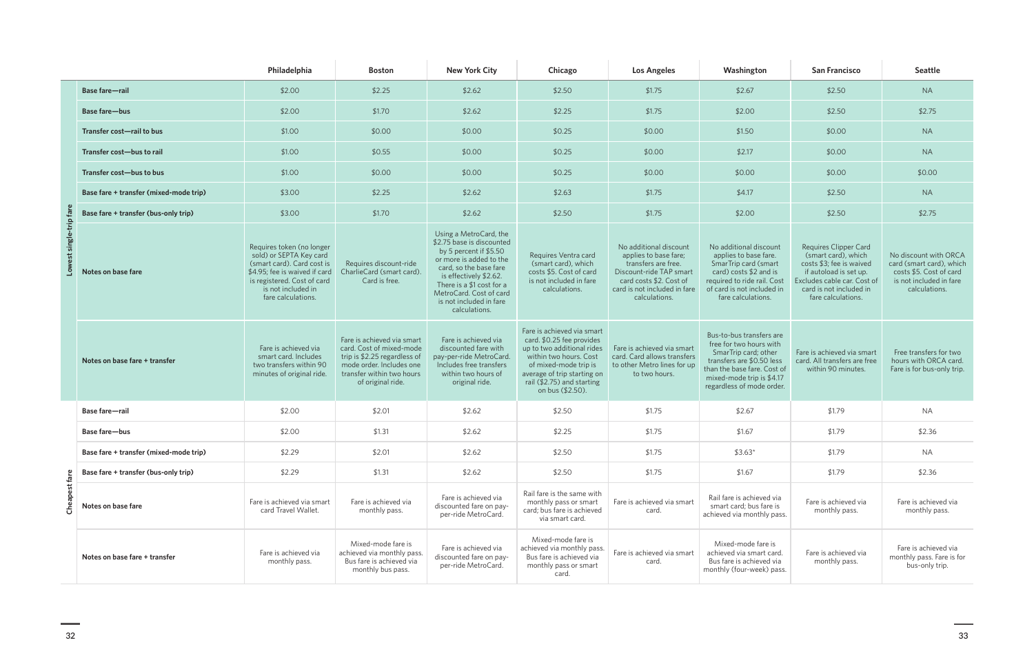|                                   |                                        | Philadelphia                                                                                                                                                                                   | <b>Boston</b>                                                                                                                                                        | <b>New York City</b>                                                                                                                                                                                                                                              | Chicago                                                                                                                                                                                                                   | <b>Los Angeles</b>                                                                                                                                                            | Washington                                                                                                                                                                                        | <b>San Francisco</b>                                                                                                                                                                      | <b>Seattle</b>                                                                                                           |
|-----------------------------------|----------------------------------------|------------------------------------------------------------------------------------------------------------------------------------------------------------------------------------------------|----------------------------------------------------------------------------------------------------------------------------------------------------------------------|-------------------------------------------------------------------------------------------------------------------------------------------------------------------------------------------------------------------------------------------------------------------|---------------------------------------------------------------------------------------------------------------------------------------------------------------------------------------------------------------------------|-------------------------------------------------------------------------------------------------------------------------------------------------------------------------------|---------------------------------------------------------------------------------------------------------------------------------------------------------------------------------------------------|-------------------------------------------------------------------------------------------------------------------------------------------------------------------------------------------|--------------------------------------------------------------------------------------------------------------------------|
|                                   | <b>Base fare-rail</b>                  | \$2.00                                                                                                                                                                                         | \$2.25                                                                                                                                                               | \$2.62                                                                                                                                                                                                                                                            | \$2.50                                                                                                                                                                                                                    | \$1.75                                                                                                                                                                        | \$2.67                                                                                                                                                                                            | \$2.50                                                                                                                                                                                    | <b>NA</b>                                                                                                                |
|                                   | Base fare-bus                          | \$2.00                                                                                                                                                                                         | \$1.70                                                                                                                                                               | \$2.62                                                                                                                                                                                                                                                            | \$2.25                                                                                                                                                                                                                    | \$1.75                                                                                                                                                                        | \$2.00                                                                                                                                                                                            | \$2.50                                                                                                                                                                                    | \$2.75                                                                                                                   |
|                                   | Transfer cost-rail to bus              | \$1.00                                                                                                                                                                                         | \$0.00                                                                                                                                                               | \$0.00                                                                                                                                                                                                                                                            | \$0.25                                                                                                                                                                                                                    | \$0.00                                                                                                                                                                        | \$1.50                                                                                                                                                                                            | \$0.00                                                                                                                                                                                    | <b>NA</b>                                                                                                                |
|                                   | Transfer cost-bus to rail              | \$1.00                                                                                                                                                                                         | \$0.55                                                                                                                                                               | \$0.00                                                                                                                                                                                                                                                            | \$0.25                                                                                                                                                                                                                    | \$0.00                                                                                                                                                                        | \$2.17                                                                                                                                                                                            | \$0.00                                                                                                                                                                                    | <b>NA</b>                                                                                                                |
|                                   | Transfer cost-bus to bus               | \$1.00                                                                                                                                                                                         | \$0.00                                                                                                                                                               | \$0.00                                                                                                                                                                                                                                                            | \$0.25                                                                                                                                                                                                                    | \$0.00                                                                                                                                                                        | \$0.00                                                                                                                                                                                            | \$0.00                                                                                                                                                                                    | \$0.00                                                                                                                   |
|                                   | Base fare + transfer (mixed-mode trip) | \$3.00                                                                                                                                                                                         | \$2.25                                                                                                                                                               | \$2.62                                                                                                                                                                                                                                                            | \$2.63                                                                                                                                                                                                                    | \$1.75                                                                                                                                                                        | \$4.17                                                                                                                                                                                            | \$2.50                                                                                                                                                                                    | <b>NA</b>                                                                                                                |
|                                   | Base fare + transfer (bus-only trip)   | \$3.00                                                                                                                                                                                         | \$1.70                                                                                                                                                               | \$2.62                                                                                                                                                                                                                                                            | \$2.50                                                                                                                                                                                                                    | \$1.75                                                                                                                                                                        | \$2.00                                                                                                                                                                                            | \$2.50                                                                                                                                                                                    | \$2.75                                                                                                                   |
| est single-trip far<br><b>Nor</b> | Notes on base fare                     | Requires token (no longer<br>sold) or SEPTA Key card<br>(smart card). Card cost is<br>\$4.95; fee is waived if card<br>is registered. Cost of card<br>is not included in<br>fare calculations. | Requires discount-ride<br>CharlieCard (smart card).<br>Card is free.                                                                                                 | Using a MetroCard, the<br>\$2.75 base is discounted<br>by 5 percent if \$5.50<br>or more is added to the<br>card, so the base fare<br>is effectively \$2.62.<br>There is a $$1$ cost for a<br>MetroCard. Cost of card<br>is not included in fare<br>calculations. | Requires Ventra card<br>(smart card), which<br>costs \$5. Cost of card<br>is not included in fare<br>calculations.                                                                                                        | No additional discount<br>applies to base fare;<br>transfers are free.<br>Discount-ride TAP smart<br>card costs \$2. Cost of<br>card is not included in fare<br>calculations. | No additional discount<br>applies to base fare.<br>SmarTrip card (smart<br>card) costs $$2$ and is<br>required to ride rail. Cost<br>of card is not included in<br>fare calculations.             | <b>Requires Clipper Card</b><br>(smart card), which<br>costs \$3; fee is waived<br>if autoload is set up.<br>Excludes cable car. Cost of<br>card is not included in<br>fare calculations. | No discount with ORCA<br>card (smart card), which<br>costs \$5. Cost of card<br>is not included in fare<br>calculations. |
|                                   | Notes on base fare + transfer          | Fare is achieved via<br>smart card. Includes<br>two transfers within 90<br>minutes of original ride.                                                                                           | Fare is achieved via smart<br>card. Cost of mixed-mode<br>trip is \$2.25 regardless of<br>mode order. Includes one<br>transfer within two hours<br>of original ride. | Fare is achieved via<br>discounted fare with<br>pay-per-ride MetroCard.<br>Includes free transfers<br>within two hours of<br>original ride.                                                                                                                       | Fare is achieved via smart<br>card. \$0.25 fee provides<br>up to two additional rides<br>within two hours. Cost<br>of mixed-mode trip is<br>average of trip starting on<br>rail (\$2.75) and starting<br>on bus (\$2.50). | Fare is achieved via smart<br>card. Card allows transfers<br>to other Metro lines for up<br>to two hours.                                                                     | Bus-to-bus transfers are<br>free for two hours with<br>SmarTrip card; other<br>transfers are \$0.50 less<br>than the base fare. Cost of<br>mixed-mode trip is \$4.17<br>regardless of mode order. | Fare is achieved via smart<br>card. All transfers are free<br>within 90 minutes.                                                                                                          | Free transfers for two<br>hours with ORCA card.<br>Fare is for bus-only trip.                                            |
|                                   | Base fare-rail                         | \$2.00                                                                                                                                                                                         | \$2.01                                                                                                                                                               | \$2.62                                                                                                                                                                                                                                                            | \$2.50                                                                                                                                                                                                                    | \$1.75                                                                                                                                                                        | \$2.67                                                                                                                                                                                            | \$1.79                                                                                                                                                                                    | <b>NA</b>                                                                                                                |
|                                   | Base fare-bus                          | \$2.00                                                                                                                                                                                         | \$1.31                                                                                                                                                               | \$2.62                                                                                                                                                                                                                                                            | \$2.25                                                                                                                                                                                                                    | \$1.75                                                                                                                                                                        | \$1.67                                                                                                                                                                                            | \$1.79                                                                                                                                                                                    | \$2.36                                                                                                                   |
|                                   | Base fare + transfer (mixed-mode trip) | \$2.29                                                                                                                                                                                         | \$2.01                                                                                                                                                               | \$2.62                                                                                                                                                                                                                                                            | \$2.50                                                                                                                                                                                                                    | \$1.75                                                                                                                                                                        | $$3.63*$                                                                                                                                                                                          | \$1.79                                                                                                                                                                                    | <b>NA</b>                                                                                                                |
|                                   | Base fare + transfer (bus-only trip)   | \$2.29                                                                                                                                                                                         | \$1.31                                                                                                                                                               | \$2.62                                                                                                                                                                                                                                                            | \$2.50                                                                                                                                                                                                                    | \$1.75                                                                                                                                                                        | \$1.67                                                                                                                                                                                            | \$1.79                                                                                                                                                                                    | \$2.36                                                                                                                   |
| Cheapest fare                     | Notes on base fare                     | Fare is achieved via smart<br>card Travel Wallet.                                                                                                                                              | Fare is achieved via<br>monthly pass.                                                                                                                                | Fare is achieved via<br>discounted fare on pay-<br>per-ride MetroCard.                                                                                                                                                                                            | Rail fare is the same with<br>monthly pass or smart<br>card; bus fare is achieved<br>via smart card.                                                                                                                      | Fare is achieved via smart<br>card.                                                                                                                                           | Rail fare is achieved via<br>smart card; bus fare is<br>achieved via monthly pass.                                                                                                                | Fare is achieved via<br>monthly pass.                                                                                                                                                     | Fare is achieved via<br>monthly pass.                                                                                    |
|                                   | Notes on base fare + transfer          | Fare is achieved via<br>monthly pass.                                                                                                                                                          | Mixed-mode fare is<br>achieved via monthly pass.<br>Bus fare is achieved via<br>monthly bus pass.                                                                    | Fare is achieved via<br>discounted fare on pay-<br>per-ride MetroCard.                                                                                                                                                                                            | Mixed-mode fare is<br>achieved via monthly pass.<br>Bus fare is achieved via<br>monthly pass or smart<br>card.                                                                                                            | Fare is achieved via smart<br>card.                                                                                                                                           | Mixed-mode fare is<br>achieved via smart card.<br>Bus fare is achieved via<br>monthly (four-week) pass.                                                                                           | Fare is achieved via<br>monthly pass.                                                                                                                                                     | Fare is achieved via<br>monthly pass. Fare is for<br>bus-only trip.                                                      |